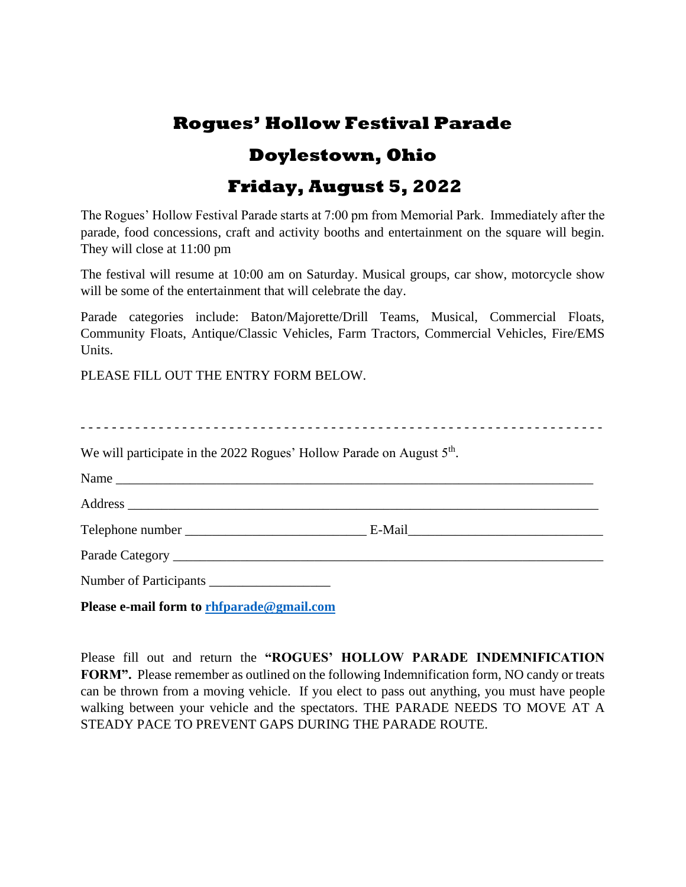# **Rogues' Hollow Festival Parade Doylestown, Ohio Friday, August 5, 2022**

The Rogues' Hollow Festival Parade starts at 7:00 pm from Memorial Park. Immediately after the parade, food concessions, craft and activity booths and entertainment on the square will begin. They will close at 11:00 pm

The festival will resume at 10:00 am on Saturday. Musical groups, car show, motorcycle show will be some of the entertainment that will celebrate the day.

Parade categories include: Baton/Majorette/Drill Teams, Musical, Commercial Floats, Community Floats, Antique/Classic Vehicles, Farm Tractors, Commercial Vehicles, Fire/EMS Units.

PLEASE FILL OUT THE ENTRY FORM BELOW.

| We will participate in the 2022 Rogues' Hollow Parade on August 5 <sup>th</sup> . |  |
|-----------------------------------------------------------------------------------|--|
|                                                                                   |  |
|                                                                                   |  |
|                                                                                   |  |
|                                                                                   |  |
|                                                                                   |  |
| Please e-mail form to rhfparade@gmail.com                                         |  |

Please fill out and return the **"ROGUES' HOLLOW PARADE INDEMNIFICATION**  FORM". Please remember as outlined on the following Indemnification form, NO candy or treats can be thrown from a moving vehicle. If you elect to pass out anything, you must have people walking between your vehicle and the spectators. THE PARADE NEEDS TO MOVE AT A STEADY PACE TO PREVENT GAPS DURING THE PARADE ROUTE.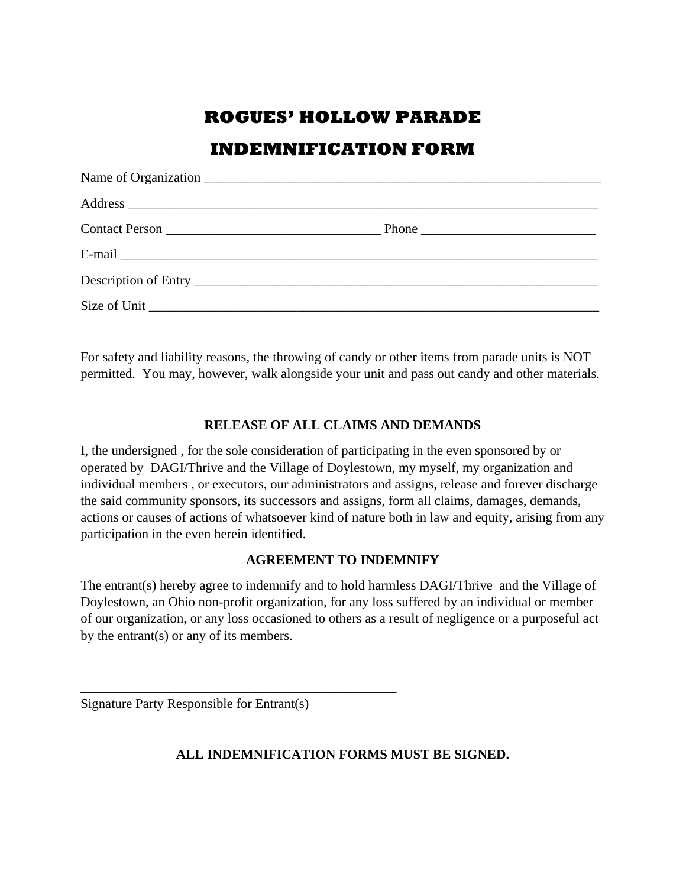## **ROGUES' HOLLOW PARADE**

### **INDEMNIFICATION FORM**

For safety and liability reasons, the throwing of candy or other items from parade units is NOT permitted. You may, however, walk alongside your unit and pass out candy and other materials.

#### **RELEASE OF ALL CLAIMS AND DEMANDS**

I, the undersigned , for the sole consideration of participating in the even sponsored by or operated by DAGI/Thrive and the Village of Doylestown, my myself, my organization and individual members , or executors, our administrators and assigns, release and forever discharge the said community sponsors, its successors and assigns, form all claims, damages, demands, actions or causes of actions of whatsoever kind of nature both in law and equity, arising from any participation in the even herein identified.

#### **AGREEMENT TO INDEMNIFY**

The entrant(s) hereby agree to indemnify and to hold harmless DAGI/Thrive and the Village of Doylestown, an Ohio non-profit organization, for any loss suffered by an individual or member of our organization, or any loss occasioned to others as a result of negligence or a purposeful act by the entrant(s) or any of its members.

Signature Party Responsible for Entrant(s)

\_\_\_\_\_\_\_\_\_\_\_\_\_\_\_\_\_\_\_\_\_\_\_\_\_\_\_\_\_\_\_\_\_\_\_\_\_\_\_\_\_\_\_\_\_\_\_

#### **ALL INDEMNIFICATION FORMS MUST BE SIGNED.**